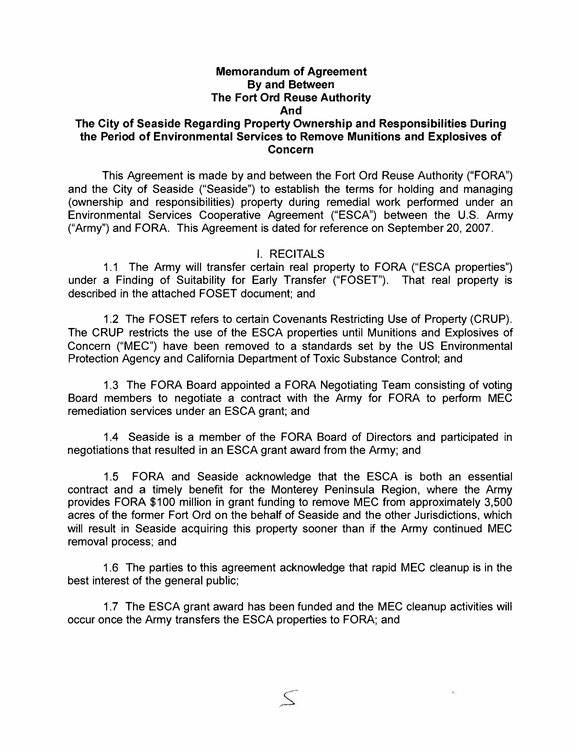# **Memorandum of Agreement By and Between The Fort Ord Reuse Authority And**

### **The City of Seaside Regarding Property Ownership and Responsibilities During the Period of Environmental Services to Remove Munitions and Explosives of Concern**

This Agreement is made by and between the Fort Ord Reuse Authority ("FORA") and the City of Seaside ("Seaside") to establish the terms for holding and managing (ownership and responsibilities) property during remedial work performed under an Environmental Services Cooperative Agreement ("ESCA") between the U.S. Army ("Army") and FORA. This Agreement is dated for reference on September 20, 2007.

### I. RECITALS

1.1 The Army will transfer certain real property to FORA ("ESCA properties") under a Finding of Suitability for Early Transfer ("FOSET"). That real property is described in the attached FOSET document; and

1.2 The FOSET refers to certain Covenants Restricting Use of Property (CRUP). The CRUP restricts the use of the ESCA properties until Munitions and Explosives of Concern ("MEC") have been removed to a standards set by the US Environmental Protection Agency and California Department of Toxic Substance Control; and

1.3 The FORA Board appointed a FORA Negotiating Team consisting of voting Board members to negotiate a contract with the Army for FORA to perform MEG remediation services under an ESCA grant; and

1.4 Seaside is a member of the FORA Board of Directors and participated in negotiations that resulted in an ESCA grant award from the Army; and

1.5 FORA and Seaside acknowledge that the ESCA is both an essential contract and a timely benefit for the Monterey Peninsula Region, where the Army provides FORA \$100 million in grant funding to remove MEG from approximately 3,500 acres of the former Fort Ord on the behalf of Seaside and the other Jurisdictions, which will result in Seaside acquiring this property sooner than if the Army continued MEC removal process; and

1.6 The parties to this agreement acknowledge that rapid MEG cleanup is in the best interest of the general public;

1.7 The ESCA grant award has been funded and the MEG cleanup activities will occur once the Army transfers the ESCA properties to FORA; and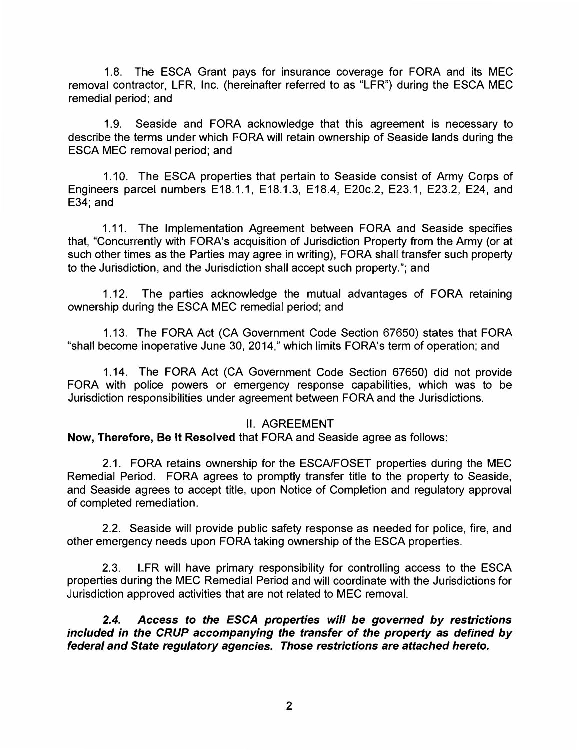1.8. The ESCA Grant pays for insurance coverage for FORA and its MEC removal contractor, LFR, Inc. (hereinafter referred to as "LFR") during the ESCA MEC remedial period; and

1.9. Seaside and FORA acknowledge that this agreement is necessary to describe the terms under which FORA will retain ownership of Seaside lands during the ESCA MEC removal period; and

1.10. The ESCA properties that pertain to Seaside consist of Army Corps of Engineers parcel numbers E18.1.1, E18.1.3, E18.4, E20c.2, E23.1, E23.2, E24, and E34; and

1.11. The Implementation Agreement between FORA and Seaside specifies that, "Concurrently with FORA's acquisition of Jurisdiction Property from the Army (or at such other times as the Parties may agree in writing), FORA shall transfer such property to the Jurisdiction, and the Jurisdiction shall accept such property."; and

1.12. The parties acknowledge the mutual advantages of FORA retaining ownership during the ESCA MEC remedial period; and

1.13. The FORA Act (CA Government Code Section 67650) states that FORA "shall become inoperative June 30, 2014," which limits FORA's term of operation; and

1.14. The FORA Act (CA Government Code Section 67650) did not provide FORA with police powers or emergency response capabilities, which was to be Jurisdiction responsibilities under agreement between FORA and the Jurisdictions.

### II. AGREEMENT

**Now, Therefore, Be It Resolved** that FORA and Seaside agree as follows:

2.1. FORA retains ownership for the ESCA/FOSET properties during the MEC Remedial Period. FORA agrees to promptly transfer title to the property to Seaside, and Seaside agrees to accept title, upon Notice of Completion and regulatory approval of completed remediation.

2.2. Seaside will provide public safety response as needed for police, fire, and other emergency needs upon FORA taking ownership of the ESCA properties.

2.3. LFR will have primary responsibility for controlling access to the ESCA properties during the MEC Remedial Period and will coordinate with the Jurisdictions for Jurisdiction approved activities that are not related to MEC removal.

*2.4. Access to the ESCA properties will be governed by restrictions included in the CRUP accompanying the transfer of the property as defined by federal and State regulatory agencies. Those restrictions are attached hereto.*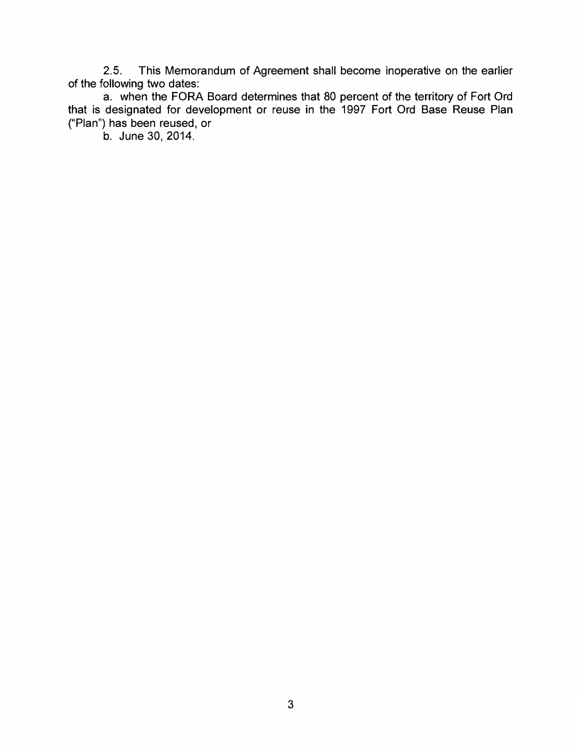2.5. This Memorandum of Agreement shall become inoperative on the earlier of the following two dates:

a. when the FORA Board determines that 80 percent of the territory of Fort Ord that is designated for development or reuse in the 1997 Fort Ord Base Reuse Plan ("Plan") has been reused, or

b. June 30, 2014.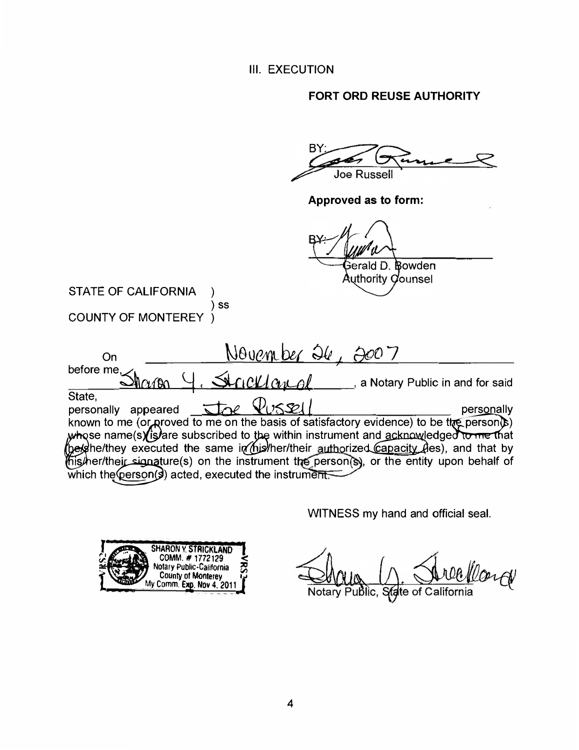**III. EXECUTION** 

FORT ORD REUSE AUTHORITY

 $B'$ **Joe Russell** 

Approved as to form:

B Bowden Gerald D. Authority Counsel

**STATE OF CALIFORNIA**  $\lambda$ ) SS COUNTY OF MONTEREY )

| On                            |                           | November 26,                                         |                                                                                                                                                                                   |            |
|-------------------------------|---------------------------|------------------------------------------------------|-----------------------------------------------------------------------------------------------------------------------------------------------------------------------------------|------------|
| before me, $\swarrow$         | $\alpha \wedge \alpha$ ll | Strickland                                           | a Notary Public in and for said                                                                                                                                                   |            |
| State,<br>personally appeared |                           | Joe Vussell                                          |                                                                                                                                                                                   | personally |
|                               |                           |                                                      | known to me (or proved to me on the basis of satisfactory evidence) to be the person(b)<br>whose name(s) (is) are subscribed to the within instrument and acknowledged to me that |            |
|                               |                           |                                                      | he/she/they executed the same in his/her/their authorized capacity des), and that by<br>his/her/their signature(s) on the instrument the person(s), or the entity upon behalf of  |            |
|                               |                           | which the (person(s) acted, executed the instrument. |                                                                                                                                                                                   |            |

WITNESS my hand and official seal.



llard ublic, State of California Notary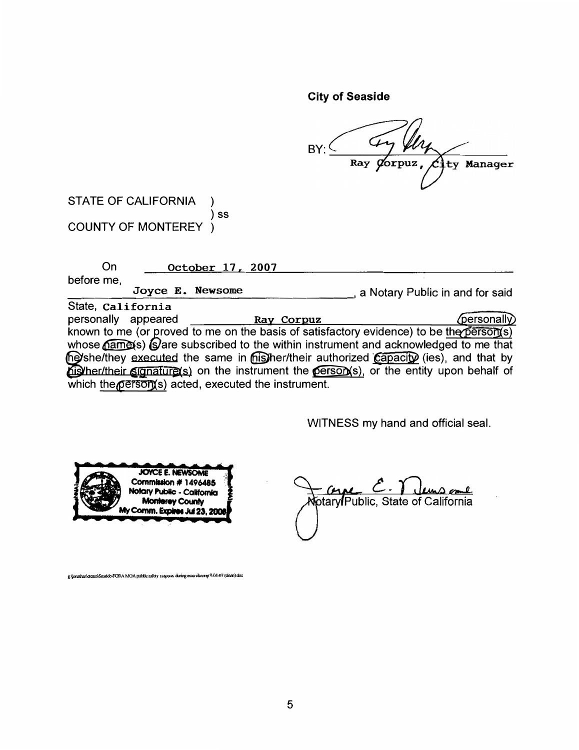**City of Seaside** 

BY: Ray Dorpuz, City Manager

STATE OF CALIFORNIA  $\lambda$  $)$  ss COUNTY OF MONTEREY )

| On                  |                  | October 17, 2007                                    |                                                                                          |
|---------------------|------------------|-----------------------------------------------------|------------------------------------------------------------------------------------------|
| before me,          |                  |                                                     |                                                                                          |
|                     | Joyce E. Newsome |                                                     | a Notary Public in and for said                                                          |
| State, California   |                  |                                                     |                                                                                          |
| personally appeared |                  | Ray Corpuz                                          | <i>(personally)</i>                                                                      |
|                     |                  |                                                     | known to me (or proved to me on the basis of satisfactory evidence) to be the person(s)  |
|                     |                  |                                                     | whose namets) (S) are subscribed to the within instrument and acknowledged to me that    |
|                     |                  |                                                     | (he) she/they executed the same in misher/their authorized capacity (ies), and that by   |
|                     |                  |                                                     | his her/their signature(s) on the instrument the person(s), or the entity upon behalf of |
|                     |                  | which the person(s) acted, executed the instrument. |                                                                                          |

WITNESS my hand and official seal.



<u> Cype</u> C. T <u>lemp ome</u><br>Notary Public, State of California

g ljonathanktescalSeaside-FORA MOA public sufety respons during esca clearup 9-04-07 (clean).doc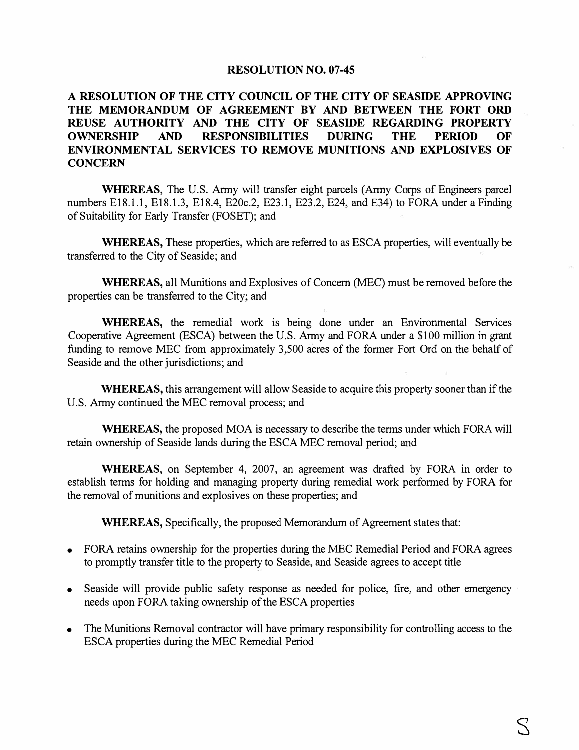#### **RESOLUTION NO. 07-45**

## **A RESOLUTION OF THE CITY COUNCIL OF THE CITY OF SEASIDE APPROVING THE MEMORANDUM OF AGREEMENT BY AND BETWEEN THE FORT ORD REUSE AUTHORITY AND THE CITY OF SEASIDE REGARDING PROPERTY OWNERSHIP AND RESPONSIBILITIES DURING THE PERIOD OF ENVIRONMENTAL SERVICES TO REMOVE MUNITIONS AND EXPLOSIVES OF CONCERN**

**WHEREAS,** The U.S. Army will transfer eight parcels (Anny Corps of Engineers parcel numbers E18.l.1, E18.l.3, E18.4, E20c.2, E23.1, E23.2, E24, and E34) to FORA under a Finding of Suitability for Early Transfer (FOSET); and

**WHEREAS,** These properties, which are referred to as ESCA properties, will eventually be transferred to the City of Seaside; and

**WHEREAS,** all Munitions and Explosives of Concern (MEC) must be removed before the properties can be transferred to the City; and

**WHEREAS,** the remedial work is being done under an Environmental Services Cooperative Agreement (ESCA) between the U.S. Anny and FORA under a \$100 million in grant funding to remove MEC from approximately 3,500 acres of the former Fort Ord on the behalf of Seaside and the other jurisdictions; and

**WHEREAS,** this arrangement will allow Seaside to acquire this property sooner than if the U.S. Army continued the MEC removal process; and

**WHEREAS,** the proposed MOA is necessary to describe the terms under which FORA will retain ownership of Seaside lands during the ESCA MEC removal period; and

**WHEREAS,** on September 4, 2007, an agreement was drafted by FORA in order to establish terms for holding and managing property during remedial work performed by FORA for the removal of munitions and explosives on these properties; and

**WHEREAS,** Specifically, the proposed Memorandum of Agreement states that:

- FORA retains ownership for the properties during the MEC Remedial Period and FORA agrees to promptly transfer title to the property to Seaside, and Seaside agrees to accept title
- Seaside will provide public safety response as needed for police, fire, and other emergency needs upon FORA taking ownership of the ESCA properties
- The Munitions Removal contractor will have primary responsibility for controlling access to the ESCA properties during the MEC Remedial Period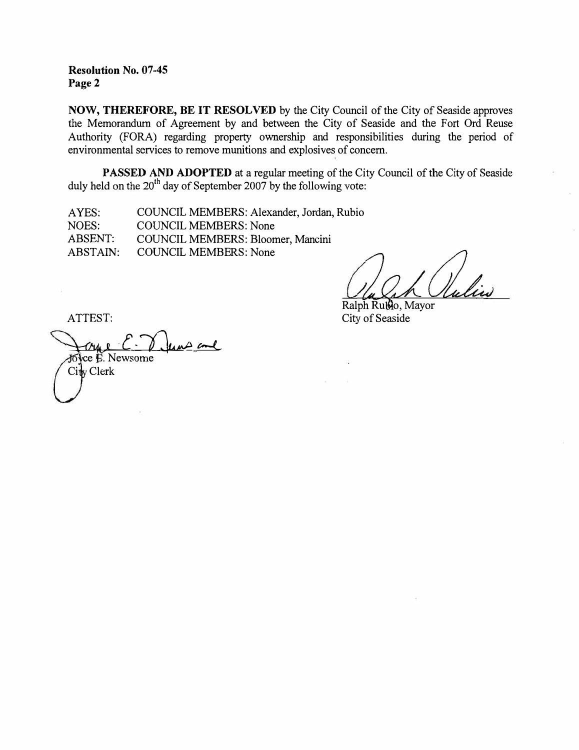**Resolution No. 07-45 Page2** 

**NOW, THEREFORE, BE IT RESOLVED** by the City Council of the City of Seaside approves the Memorandum of Agreement by and between the City of Seaside and the Fort Ord Reuse Authority (FORA) regarding property ownership and responsibilities during the period of environmental services to remove munitions and explosives of concern.

**PASSED AND ADOPTED** at a regular meeting of the City Council of the City of Seaside duly held on the  $20<sup>th</sup>$  day of September 2007 by the following vote:

AYES: NOES: ABSENT: ABSTAIN: COUNCIL MEMBERS: Alexander, Jordan, Rubio COUNCIL MEMBERS: None COUNCIL MEMBERS: Bloomer, Mancini COUNCIL MEMBERS: None

Ralph Rublo, Mayor City of Seaside

ATTEST:

<u>C. Vlans and</u> City Clerk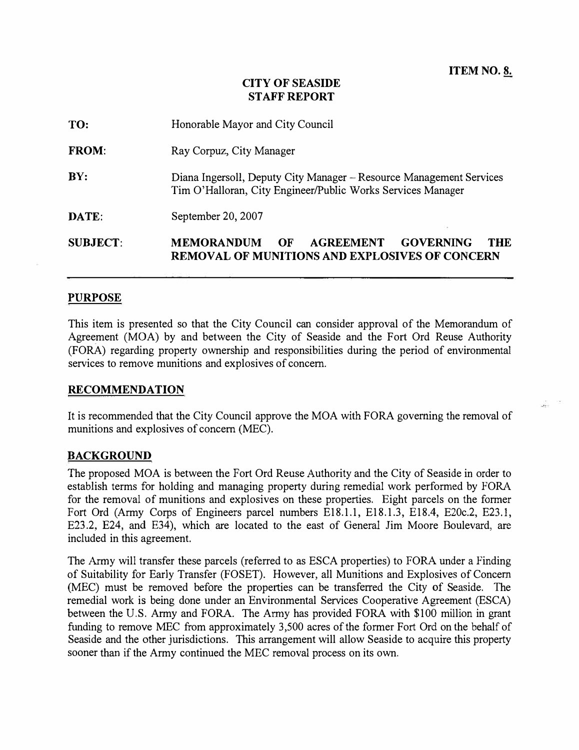## **CITY OF SEASIDE STAFF REPORT**

| <b>SUBJECT:</b> | <b>MEMORANDUM</b><br><b>GOVERNING</b><br><b>THE</b><br>OF<br><b>AGREEMENT</b><br><b>REMOVAL OF MUNITIONS AND EXPLOSIVES OF CONCERN</b> |  |  |  |  |  |
|-----------------|----------------------------------------------------------------------------------------------------------------------------------------|--|--|--|--|--|
| DATE:           | September 20, 2007                                                                                                                     |  |  |  |  |  |
| BY:             | Diana Ingersoll, Deputy City Manager – Resource Management Services<br>Tim O'Halloran, City Engineer/Public Works Services Manager     |  |  |  |  |  |
| <b>FROM:</b>    | Ray Corpuz, City Manager                                                                                                               |  |  |  |  |  |
| TO:             | Honorable Mayor and City Council                                                                                                       |  |  |  |  |  |

#### **PURPOSE**

This item is presented so that the City Council can consider approval of the Memorandum of Agreement (MOA) by and between the City of Seaside and the Fort Ord Reuse Authority (FORA) regarding property ownership and responsibilities during the period of environmental services to remove munitions and explosives of concern.

#### **RECOMMENDATION**

It is recommended that the City Council approve the MOA with FORA governing the removal of munitions and explosives of concern (MEC).

### **BACKGROUND**

The proposed MOA is between the Fort Ord Reuse Authority and the City of Seaside in order to establish terms for holding and managing property during remedial work performed by FORA for the removal of munitions and explosives on these properties. Eight parcels on the former Fort Ord (Army Corps of Engineers parcel numbers El8.l.l, El8.l.3, El8.4, E20c.2, E23.l, E23.2, E24, and E34), which are located to the east of General Jim Moore Boulevard, are included in this agreement.

The Army will transfer these parcels (referred to as ESCA properties) to FORA under a Finding of Suitability for Early Transfer (FOSET). However, all Munitions and Explosives of Concern (MEC) must be removed before the properties can be transferred the City of Seaside. The remedial work is being done under an Environmental Services Cooperative Agreement (ESCA) between the U.S. Army and FORA. The Army has provided FORA with \$100 million in grant funding to remove MEC from approximately 3,500 acres of the former Fort Ord on the behalf of Seaside and the other jurisdictions. This arrangement will allow Seaside to acquire this property sooner than if the Army continued the MEC removal process on its own.